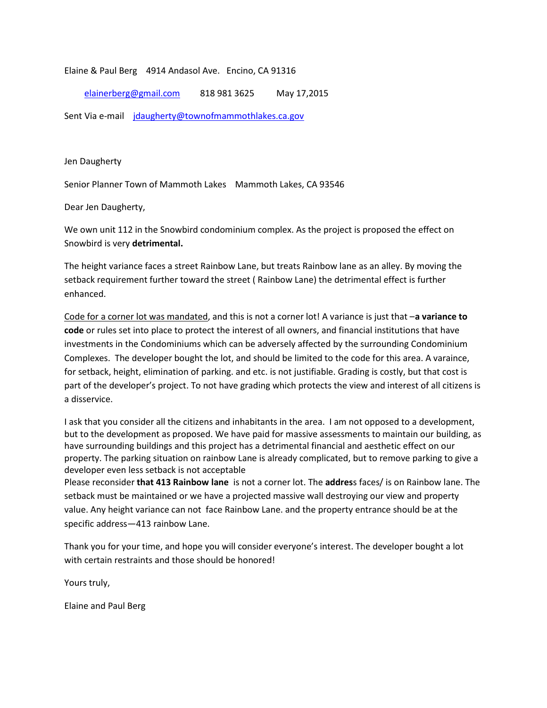#### Elaine & Paul Berg 4914 Andasol Ave. Encino, CA 91316

### elainerberg@gmail.com 818 981 3625 May 17,2015

Sent Via e-mail jdaugherty@townofmammothlakes.ca.gov

Jen Daugherty

Senior Planner Town of Mammoth Lakes Mammoth Lakes, CA 93546

Dear Jen Daugherty,

We own unit 112 in the Snowbird condominium complex. As the project is proposed the effect on Snowbird is very **detrimental.**

The height variance faces a street Rainbow Lane, but treats Rainbow lane as an alley. By moving the setback requirement further toward the street ( Rainbow Lane) the detrimental effect is further enhanced.

Code for a corner lot was mandated, and this is not a corner lot! A variance is just that –**a variance to code** or rules set into place to protect the interest of all owners, and financial institutions that have investments in the Condominiums which can be adversely affected by the surrounding Condominium Complexes. The developer bought the lot, and should be limited to the code for this area. A varaince, for setback, height, elimination of parking. and etc. is not justifiable. Grading is costly, but that cost is part of the developer's project. To not have grading which protects the view and interest of all citizens is a disservice.

I ask that you consider all the citizens and inhabitants in the area. I am not opposed to a development, but to the development as proposed. We have paid for massive assessments to maintain our building, as have surrounding buildings and this project has a detrimental financial and aesthetic effect on our property. The parking situation on rainbow Lane is already complicated, but to remove parking to give a developer even less setback is not acceptable

Please reconsider **that 413 Rainbow lane** is not a corner lot. The **addres**s faces/ is on Rainbow lane. The setback must be maintained or we have a projected massive wall destroying our view and property value. Any height variance can not face Rainbow Lane. and the property entrance should be at the specific address—413 rainbow Lane.

Thank you for your time, and hope you will consider everyone's interest. The developer bought a lot with certain restraints and those should be honored!

Yours truly,

Elaine and Paul Berg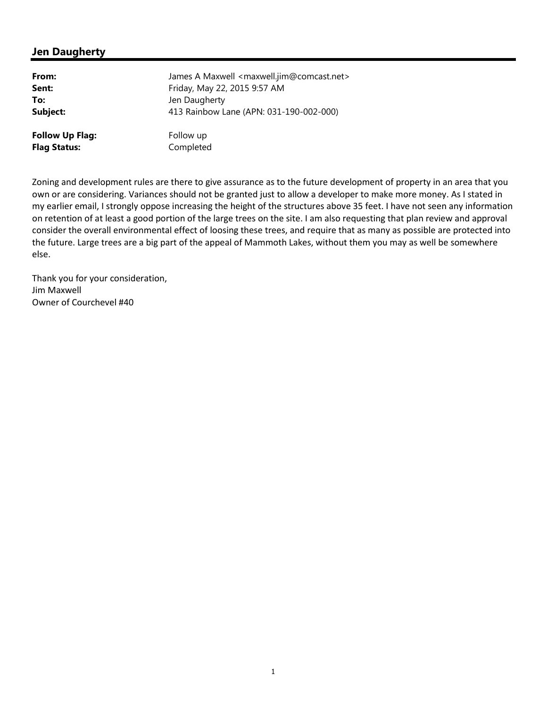### **Jen Daugherty**

| From:                  | James A Maxwell <maxwell.jim@comcast.net></maxwell.jim@comcast.net> |
|------------------------|---------------------------------------------------------------------|
| Sent:                  | Friday, May 22, 2015 9:57 AM                                        |
| To:                    | Jen Daugherty                                                       |
| Subject:               | 413 Rainbow Lane (APN: 031-190-002-000)                             |
| <b>Follow Up Flag:</b> | Follow up                                                           |
| <b>Flag Status:</b>    | Completed                                                           |

Zoning and development rules are there to give assurance as to the future development of property in an area that you own or are considering. Variances should not be granted just to allow a developer to make more money. As I stated in my earlier email, I strongly oppose increasing the height of the structures above 35 feet. I have not seen any information on retention of at least a good portion of the large trees on the site. I am also requesting that plan review and approval consider the overall environmental effect of loosing these trees, and require that as many as possible are protected into the future. Large trees are a big part of the appeal of Mammoth Lakes, without them you may as well be somewhere else.

Thank you for your consideration, Jim Maxwell Owner of Courchevel #40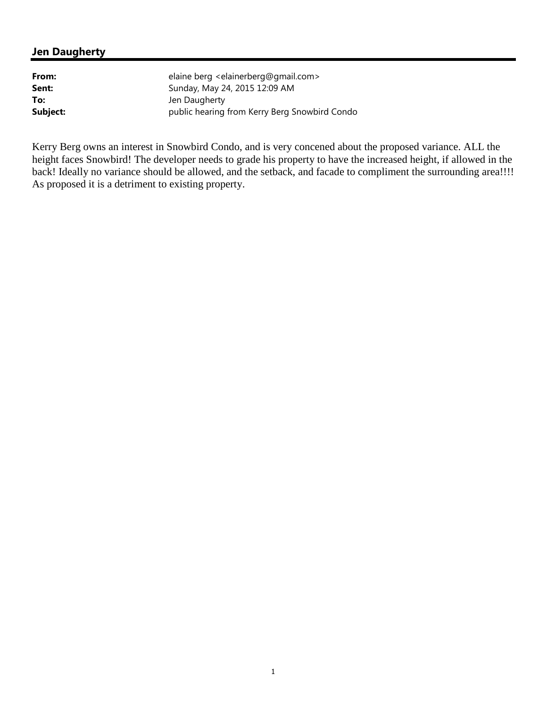# **Jen Daugherty**

| From:    | elaine berg <elainerberg@gmail.com></elainerberg@gmail.com> |
|----------|-------------------------------------------------------------|
| Sent:    | Sunday, May 24, 2015 12:09 AM                               |
| To:      | Jen Daugherty                                               |
| Subject: | public hearing from Kerry Berg Snowbird Condo               |

Kerry Berg owns an interest in Snowbird Condo, and is very concened about the proposed variance. ALL the height faces Snowbird! The developer needs to grade his property to have the increased height, if allowed in the back! Ideally no variance should be allowed, and the setback, and facade to compliment the surrounding area!!!! As proposed it is a detriment to existing property.